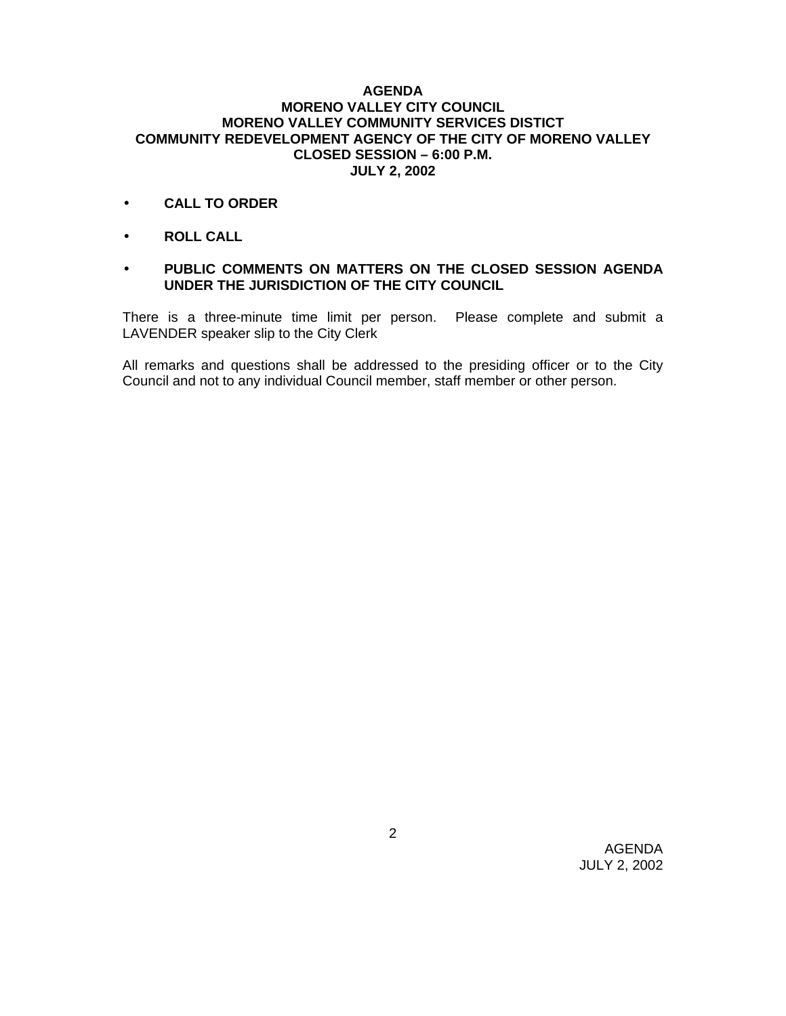## **AGENDA MORENO VALLEY CITY COUNCIL MORENO VALLEY COMMUNITY SERVICES DISTICT COMMUNITY REDEVELOPMENT AGENCY OF THE CITY OF MORENO VALLEY CLOSED SESSION – 6:00 P.M. JULY 2, 2002**

- **CALL TO ORDER**
- **ROLL CALL**

## • **PUBLIC COMMENTS ON MATTERS ON THE CLOSED SESSION AGENDA UNDER THE JURISDICTION OF THE CITY COUNCIL**

There is a three-minute time limit per person. Please complete and submit a LAVENDER speaker slip to the City Clerk

All remarks and questions shall be addressed to the presiding officer or to the City Council and not to any individual Council member, staff member or other person.

> AGENDA JULY 2, 2002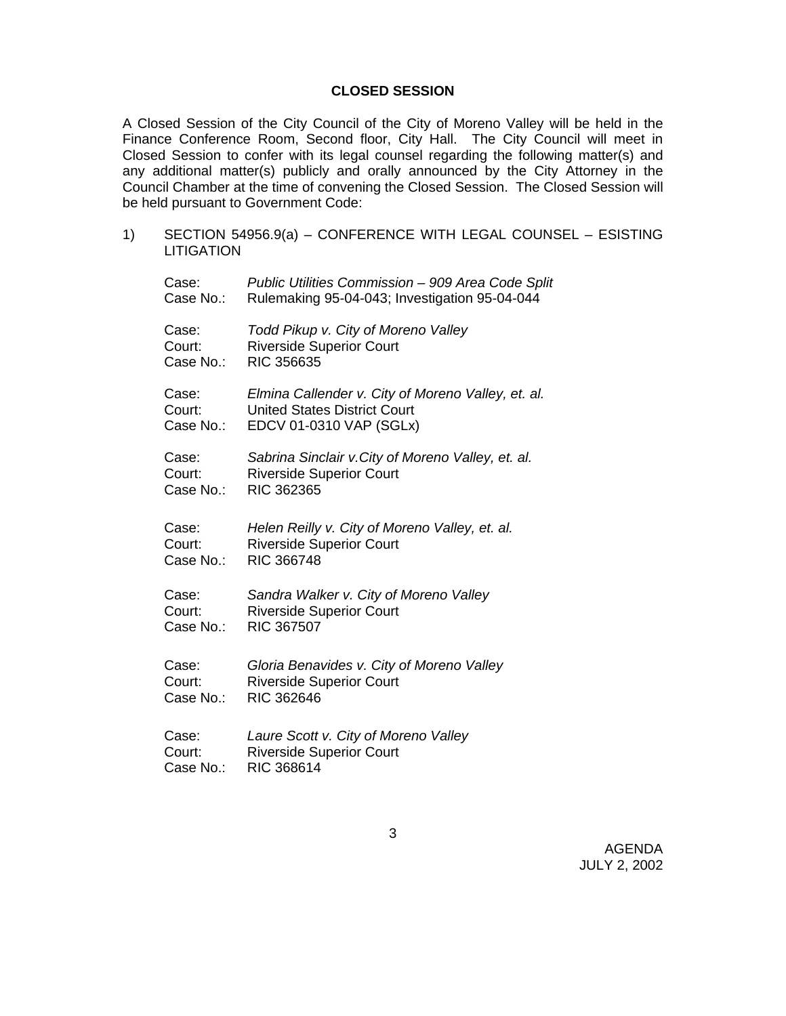## **CLOSED SESSION**

A Closed Session of the City Council of the City of Moreno Valley will be held in the Finance Conference Room, Second floor, City Hall. The City Council will meet in Closed Session to confer with its legal counsel regarding the following matter(s) and any additional matter(s) publicly and orally announced by the City Attorney in the Council Chamber at the time of convening the Closed Session. The Closed Session will be held pursuant to Government Code:

1) SECTION 54956.9(a) – CONFERENCE WITH LEGAL COUNSEL – ESISTING **LITIGATION** Case: *Public Utilities Commission – 909 Area Code Split* Case No.: Rulemaking 95-04-043; Investigation 95-04-044 Case: *Todd Pikup v. City of Moreno Valley* Court: Riverside Superior Court Case No.: RIC 356635 Case: *Elmina Callender v. City of Moreno Valley, et. al.* Court: United States District Court Case No.: EDCV 01-0310 VAP (SGLx) Case: *Sabrina Sinclair v.City of Moreno Valley, et. al.* Court: Riverside Superior Court Case No.: RIC 362365 Case: *Helen Reilly v. City of Moreno Valley, et. al.* Court: Riverside Superior Court Case No.: RIC 366748 Case: *Sandra Walker v. City of Moreno Valley* Court: Riverside Superior Court Case No.: RIC 367507 Case: *Gloria Benavides v. City of Moreno Valley* Court: Riverside Superior Court<br>Case No.: RIC 362646 RIC 362646 Case: *Laure Scott v. City of Moreno Valley* Court: Riverside Superior Court Case No.: RIC 368614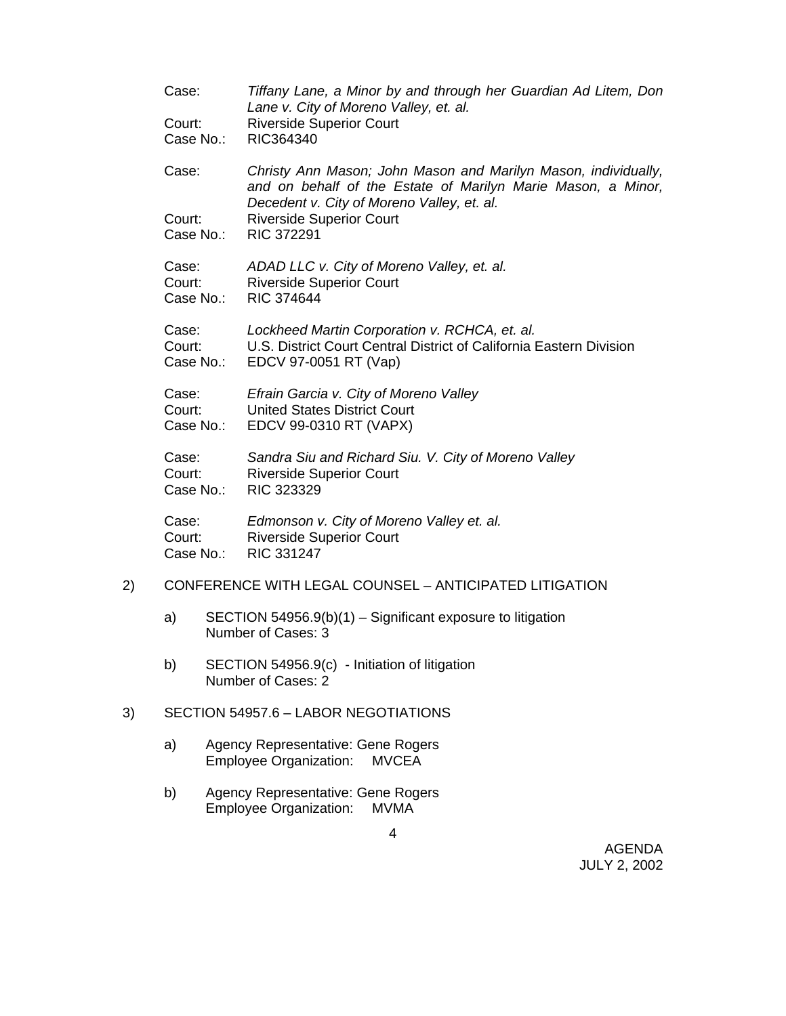|    | Case:                                                  | Tiffany Lane, a Minor by and through her Guardian Ad Litem, Don<br>Lane v. City of Moreno Valley, et. al.                                     |
|----|--------------------------------------------------------|-----------------------------------------------------------------------------------------------------------------------------------------------|
|    | Court:<br>Case No.:                                    | <b>Riverside Superior Court</b><br>RIC364340                                                                                                  |
|    | Case:                                                  | Christy Ann Mason; John Mason and Marilyn Mason, individually,<br>and on behalf of the Estate of Marilyn Marie Mason, a Minor,                |
|    | Court:<br>Case No.:                                    | Decedent v. City of Moreno Valley, et. al.<br><b>Riverside Superior Court</b><br><b>RIC 372291</b>                                            |
|    | Case:<br>Court:<br>Case No.:                           | ADAD LLC v. City of Moreno Valley, et. al.<br><b>Riverside Superior Court</b><br>RIC 374644                                                   |
|    | Case:<br>Court:<br>Case No.:                           | Lockheed Martin Corporation v. RCHCA, et. al.<br>U.S. District Court Central District of California Eastern Division<br>EDCV 97-0051 RT (Vap) |
|    | Case:<br>Court:<br>Case No.:                           | Efrain Garcia v. City of Moreno Valley<br><b>United States District Court</b><br>EDCV 99-0310 RT (VAPX)                                       |
|    | Case:<br>Court:<br>Case No.:                           | Sandra Siu and Richard Siu. V. City of Moreno Valley<br><b>Riverside Superior Court</b><br>RIC 323329                                         |
|    | Case:<br>Court:<br>Case No.:                           | Edmonson v. City of Moreno Valley et. al.<br><b>Riverside Superior Court</b><br>RIC 331247                                                    |
| 2) | CONFERENCE WITH LEGAL COUNSEL - ANTICIPATED LITIGATION |                                                                                                                                               |
|    | a)                                                     | SECTION 54956.9(b)(1) - Significant exposure to litigation<br>Number of Cases: 3                                                              |

b) SECTION 54956.9(c) - Initiation of litigation Number of Cases: 2

## 3) SECTION 54957.6 – LABOR NEGOTIATIONS

- a) Agency Representative: Gene Rogers Employee Organization: MVCEA
- b) Agency Representative: Gene Rogers Employee Organization: MVMA

AGENDA JULY 2, 2002